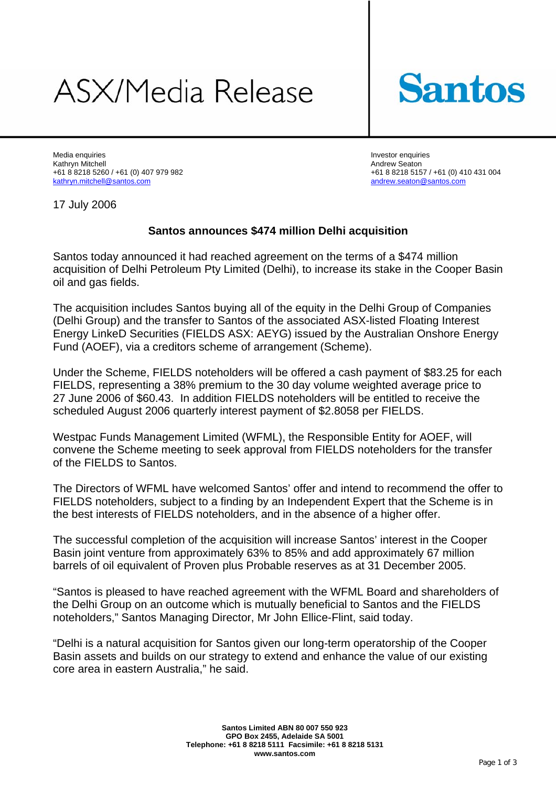## ASX/Media Release



Media enquiries **Investor enquiries** Investor enquiries **Investor enquiries** Kathryn Mitchell Andrew Seaton<br>1992 - Hot Ball Andrew Seaton +61 8 8218 515 - Andrew Seaton +61 8 8218 515 - Andrew Seaton +61 8 8218 515 - A kathryn.mitchell@santos.com andrew.seaton@santos.com andrew.seaton@santos.com

+61 8 8218 5157 / +61 (0) 410 431 004

17 July 2006

## **Santos announces \$474 million Delhi acquisition**

Santos today announced it had reached agreement on the terms of a \$474 million acquisition of Delhi Petroleum Pty Limited (Delhi), to increase its stake in the Cooper Basin oil and gas fields.

The acquisition includes Santos buying all of the equity in the Delhi Group of Companies (Delhi Group) and the transfer to Santos of the associated ASX-listed Floating Interest Energy LinkeD Securities (FIELDS ASX: AEYG) issued by the Australian Onshore Energy Fund (AOEF), via a creditors scheme of arrangement (Scheme).

Under the Scheme, FIELDS noteholders will be offered a cash payment of \$83.25 for each FIELDS, representing a 38% premium to the 30 day volume weighted average price to 27 June 2006 of \$60.43. In addition FIELDS noteholders will be entitled to receive the scheduled August 2006 quarterly interest payment of \$2.8058 per FIELDS.

Westpac Funds Management Limited (WFML), the Responsible Entity for AOEF, will convene the Scheme meeting to seek approval from FIELDS noteholders for the transfer of the FIELDS to Santos.

The Directors of WFML have welcomed Santos' offer and intend to recommend the offer to FIELDS noteholders, subject to a finding by an Independent Expert that the Scheme is in the best interests of FIELDS noteholders, and in the absence of a higher offer.

The successful completion of the acquisition will increase Santos' interest in the Cooper Basin joint venture from approximately 63% to 85% and add approximately 67 million barrels of oil equivalent of Proven plus Probable reserves as at 31 December 2005.

"Santos is pleased to have reached agreement with the WFML Board and shareholders of the Delhi Group on an outcome which is mutually beneficial to Santos and the FIELDS noteholders," Santos Managing Director, Mr John Ellice-Flint, said today.

"Delhi is a natural acquisition for Santos given our long-term operatorship of the Cooper Basin assets and builds on our strategy to extend and enhance the value of our existing core area in eastern Australia," he said.